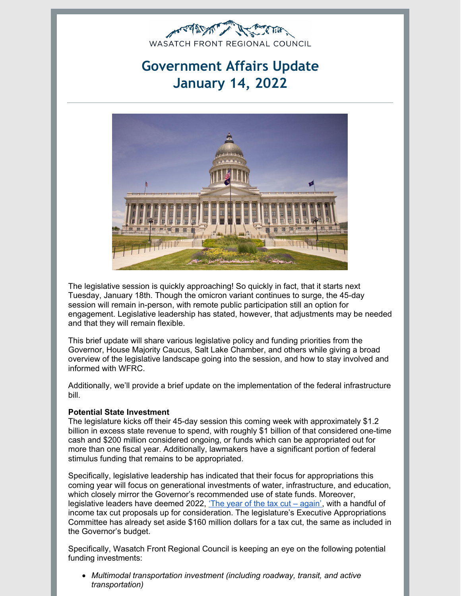

# **Government Affairs Update January 14, 2022**



The legislative session is quickly approaching! So quickly in fact, that it starts next Tuesday, January 18th. Though the omicron variant continues to surge, the 45-day session will remain in-person, with remote public participation still an option for engagement. Legislative leadership has stated, however, that adjustments may be needed and that they will remain flexible.

This brief update will share various legislative policy and funding priorities from the Governor, House Majority Caucus, Salt Lake Chamber, and others while giving a broad overview of the legislative landscape going into the session, and how to stay involved and informed with WFRC.

Additionally, we'll provide a brief update on the implementation of the federal infrastructure bill.

#### **Potential State Investment**

The legislature kicks off their 45-day session this coming week with approximately \$1.2 billion in excess state revenue to spend, with roughly \$1 billion of that considered one-time cash and \$200 million considered ongoing, or funds which can be appropriated out for more than one fiscal year. Additionally, lawmakers have a significant portion of federal stimulus funding that remains to be appropriated.

Specifically, legislative leadership has indicated that their focus for appropriations this coming year will focus on generational investments of water, infrastructure, and education, which closely mirror the Governor's recommended use of state funds. Moreover, legislative leaders have deemed 2022, 'The year of the tax  $cut - again'$  $cut - again'$ , with a handful of income tax cut proposals up for consideration. The legislature's Executive Appropriations Committee has already set aside \$160 million dollars for a tax cut, the same as included in the Governor's budget.

Specifically, Wasatch Front Regional Council is keeping an eye on the following potential funding investments:

*Multimodal transportation investment (including roadway, transit, and active transportation)*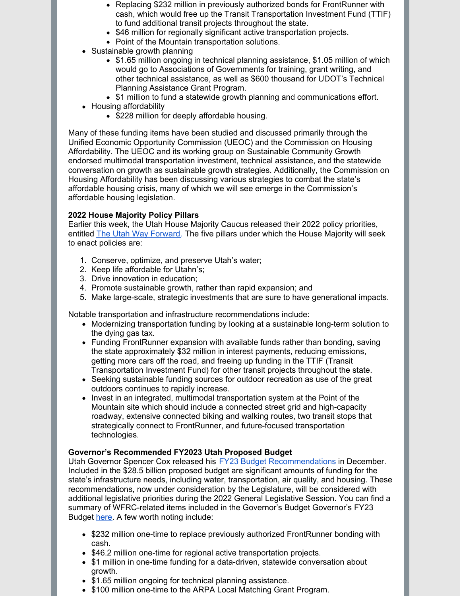- Replacing \$232 million in previously authorized bonds for FrontRunner with cash, which would free up the Transit Transportation Investment Fund (TTIF) to fund additional transit projects throughout the state.
- \$46 million for regionally significant active transportation projects.
- Point of the Mountain transportation solutions.
- Sustainable growth planning
	- \$1.65 million ongoing in technical planning assistance, \$1.05 million of which would go to Associations of Governments for training, grant writing, and other technical assistance, as well as \$600 thousand for UDOT's Technical Planning Assistance Grant Program.
	- \$1 million to fund a statewide growth planning and communications effort.
- Housing affordability
	- \$228 million for deeply affordable housing.

Many of these funding items have been studied and discussed primarily through the Unified Economic Opportunity Commission (UEOC) and the Commission on Housing Affordability. The UEOC and its working group on Sustainable Community Growth endorsed multimodal transportation investment, technical assistance, and the statewide conversation on growth as sustainable growth strategies. Additionally, the Commission on Housing Affordability has been discussing various strategies to combat the state's affordable housing crisis, many of which we will see emerge in the Commission's affordable housing legislation.

#### **2022 House Majority Policy Pillars**

Earlier this week, the Utah House Majority Caucus released their 2022 policy priorities, entitled The Utah Way [Forward.](https://house.utah.gov/2022majoritypolicypillars/) The five pillars under which the House Majority will seek to enact policies are:

- 1. Conserve, optimize, and preserve Utah's water;
- 2. Keep life affordable for Utahn's;
- 3. Drive innovation in education;
- 4. Promote sustainable growth, rather than rapid expansion; and
- 5. Make large-scale, strategic investments that are sure to have generational impacts.

Notable transportation and infrastructure recommendations include:

- Modernizing transportation funding by looking at a sustainable long-term solution to the dying gas tax.
- Funding FrontRunner expansion with available funds rather than bonding, saving the state approximately \$32 million in interest payments, reducing emissions, getting more cars off the road, and freeing up funding in the TTIF (Transit Transportation Investment Fund) for other transit projects throughout the state.
- Seeking sustainable funding sources for outdoor recreation as use of the great outdoors continues to rapidly increase.
- Invest in an integrated, multimodal transportation system at the Point of the Mountain site which should include a connected street grid and high-capacity roadway, extensive connected biking and walking routes, two transit stops that strategically connect to FrontRunner, and future-focused transportation technologies.

#### **Governor's Recommended FY2023 Utah Proposed Budget**

Utah Governor Spencer Cox released his FY23 Budget [Recommendations](https://gopb.utah.gov/wp-content/uploads/2021/12/2021_12_07-Budget-Book.pdf) in December. Included in the \$28.5 billion proposed budget are significant amounts of funding for the state's infrastructure needs, including water, transportation, air quality, and housing. These recommendations, now under consideration by the Legislature, will be considered with additional legislative priorities during the 2022 General Legislative Session. You can find a summary of WFRC-related items included in the Governor's Budget Governor's FY23 Budget [here](https://wfrc.org/PublicInvolvement/GovernmentalAffairs/2021/GovAffairs2021Dec7.pdf). A few worth noting include:

- \$232 million one-time to replace previously authorized FrontRunner bonding with cash.
- \$46.2 million one-time for regional active transportation projects.
- \$1 million in one-time funding for a data-driven, statewide conversation about growth.
- \$1.65 million ongoing for technical planning assistance.
- \$100 million one-time to the ARPA Local Matching Grant Program.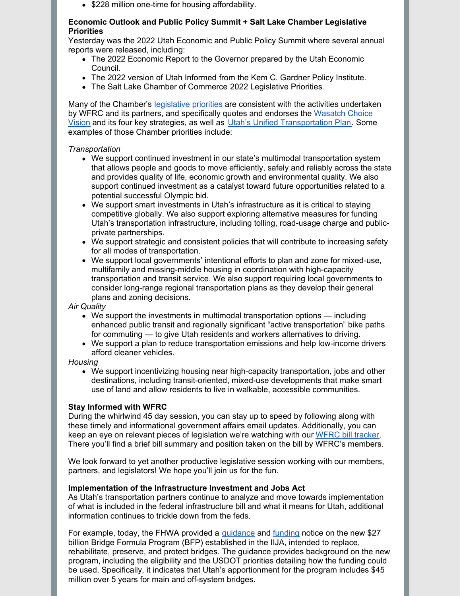• \$228 million one-time for housing affordability.

#### **Economic Outlook and Public Policy Summit + Salt Lake Chamber Legislative Priorities**

Yesterday was the 2022 Utah Economic and Public Policy Summit where several annual reports were released, including:

- The 2022 [Economic](https://gardner.utah.edu/wp-content/uploads/ERG2022-Full.pdf?x71849&x71849) Report to the Governor prepared by the Utah Economic Council.
- The 2022 version of Utah [Informed](https://issuu.com/ecclesschool/docs/ui2022_final) from the Kem C. Gardner Policy Institute.
- The Salt Lake Chamber of Commerce 2022 [Legislative](https://issuu.com/saltlakechamber/docs/publicpolicyguide_2022_final) Priorities.

Many of the Chamber's [legislative](https://issuu.com/saltlakechamber/docs/publicpolicyguide_2022_final) priorities are consistent with the activities undertaken by WFRC and its partners, and specifically quotes and endorses the Wasatch Choice Vision and its four key strategies, as well as Utah's Unified [Transportation](https://wfrc.org/wasatch-choice-regional-vision-wcrv/) Plan. Some examples of those Chamber priorities include:

# *Transportation*

- We support continued investment in our state's multimodal transportation system that allows people and goods to move efficiently, safely and reliably across the state and provides quality of life, economic growth and environmental quality. We also support continued investment as a catalyst toward future opportunities related to a potential successful Olympic bid.
- We support smart investments in Utah's infrastructure as it is critical to staying competitive globally. We also support exploring alternative measures for funding Utah's transportation infrastructure, including tolling, road-usage charge and publicprivate partnerships.
- We support strategic and consistent policies that will contribute to increasing safety for all modes of transportation.
- We support local governments' intentional efforts to plan and zone for mixed-use, multifamily and missing-middle housing in coordination with high-capacity transportation and transit service. We also support requiring local governments to consider long-range regional transportation plans as they develop their general plans and zoning decisions.

# *Air Quality*

- We support the investments in multimodal transportation options including enhanced public transit and regionally significant "active transportation" bike paths for commuting — to give Utah residents and workers alternatives to driving.
- We support a plan to reduce transportation emissions and help low-income drivers afford cleaner vehicles.

# *Housing*

We support incentivizing housing near high-capacity transportation, jobs and other destinations, including transit-oriented, mixed-use developments that make smart use of land and allow residents to live in walkable, accessible communities.

# **Stay Informed with WFRC**

During the whirlwind 45 day session, you can stay up to speed by following along with these timely and informational government affairs email updates. Additionally, you can keep an eye on relevant pieces of legislation we're watching with our WFRC bill [tracker](https://wfrc.org/billtracker/). There you'll find a brief bill summary and position taken on the bill by WFRC's members.

We look forward to yet another productive legislative session working with our members, partners, and legislators! We hope you'll join us for the fun.

# **Implementation of the Infrastructure Investment and Jobs Act**

As Utah's transportation partners continue to analyze and move towards implementation of what is included in the federal infrastructure bill and what it means for Utah, additional information continues to trickle down from the feds.

For example, today, the FHWA provided a *[guidance](https://www.fhwa.dot.gov/bridge/20220114.cfm)* and **[funding](https://www.fhwa.dot.gov/legsregs/directives/notices/n4510861.cfm)** notice on the new \$27 billion Bridge Formula Program (BFP) established in the IIJA, intended to replace, rehabilitate, preserve, and protect bridges. The guidance provides background on the new program, including the eligibility and the USDOT priorities detailing how the funding could be used. Specifically, it indicates that Utah's apportionment for the program includes \$45 million over 5 years for main and off-system bridges.